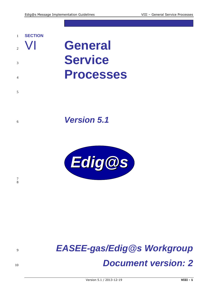



# *EASEE-gas/Edig@s Workgroup Document version: 2*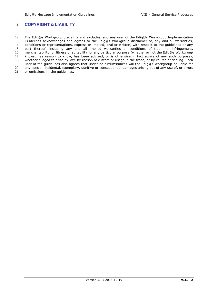# 11 **COPYRIGHT & LIABILITY**

12 The Edig@s Workgroup disclaims and excludes, and any user of the Edig@s Workgroup Implementation<br>13 Guidelines acknowledges and agrees to the Edig@s Workgroup disclaimer of, any and all warranties, 13 Guidelines acknowledges and agrees to the Edig@s Workgroup disclaimer of, any and all warranties,<br>14 conditions or representations, express or implied, oral or written, with respect to the quidelines or any 14 conditions or representations, express or implied, oral or written, with respect to the guidelines or any<br>15 part thereof, including any and all implied warranties or conditions of title, non-infringement, 15 part thereof, including any and all implied warranties or conditions of title, non-infringement,<br>16 merchantability, or fitness or suitability for any particular purpose (whether or not the Edig@s Workgroup 16 merchantability, or fitness or suitability for any particular purpose (whether or not the Edig@s Workgroup<br>17 knows, has reason to know, has been advised, or is otherwise in fact aware of any such purpose), 17 knows, has reason to know, has been advised, or is otherwise in fact aware of any such purpose), 18 whether alleged to arise by law, by reason of custom or usage in the trade, or by course of dealing. Each 18 whether alleged to arise by law, by reason of custom or usage in the trade, or by course of dealing. Each<br>19 user of the quidelines also agrees that under no circumstances will the Edig@s Workgroup be liable for 19 user of the guidelines also agrees that under no circumstances will the Edig@s Workgroup be liable for 20 any special, incidental, exemplary, punitive or consequential damages arising out of any use of, or errors 20 any special, incidental, exemplary, punitive or consequential damages arising out of any use of, or errors 21 or omissions in, the quidelines. or omissions in, the quidelines.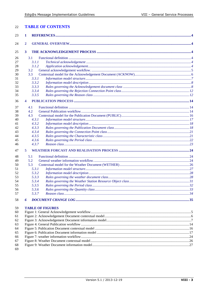| 22 | <b>TABLE OF CONTENTS</b> |                         |  |
|----|--------------------------|-------------------------|--|
| 23 | 1                        |                         |  |
| 24 | $\overline{2}$           |                         |  |
| 25 | $\mathbf{3}$             |                         |  |
| 26 | 3.1                      |                         |  |
| 27 | 3.1.1                    |                         |  |
| 28 | 3.1.2                    |                         |  |
| 29 | 3.2                      |                         |  |
| 30 | 3.3                      |                         |  |
| 31 | 3.3.1                    |                         |  |
| 32 | 3.3.2                    |                         |  |
| 33 | 3.3.3                    |                         |  |
| 34 | 3.3.4                    |                         |  |
| 35 | 3.3.5                    |                         |  |
| 36 | 4                        |                         |  |
| 37 | 4.1                      |                         |  |
| 38 | 4.2                      |                         |  |
| 39 | 4.3                      |                         |  |
| 40 | 4.3.1                    |                         |  |
| 41 | 4.3.2                    |                         |  |
| 42 | 4.3.3                    |                         |  |
| 43 | 4.3.4                    |                         |  |
| 44 | 4.3.5                    |                         |  |
| 45 | 4.3.6                    |                         |  |
| 46 | 4.3.7                    |                         |  |
| 47 | 5                        |                         |  |
| 48 | 5.1                      |                         |  |
| 49 | 5.2                      |                         |  |
| 50 | 5.3                      |                         |  |
| 51 | 5.3.1                    |                         |  |
| 52 | 5.3.2                    |                         |  |
| 53 | 5.3.3                    |                         |  |
| 54 | 5.3.4                    |                         |  |
| 55 | 5.3.5                    |                         |  |
| 56 | 5.3.6                    |                         |  |
| 57 | 5.3.7                    |                         |  |
| 58 | 6                        |                         |  |
| 59 |                          | <b>TABLE OF FIGURES</b> |  |
| 60 |                          |                         |  |
| 61 |                          |                         |  |
| 62 |                          |                         |  |
| 63 |                          |                         |  |
| 64 |                          |                         |  |
| 65 |                          |                         |  |
| 66 |                          |                         |  |
| 67 |                          |                         |  |
| 68 |                          |                         |  |
| 69 |                          |                         |  |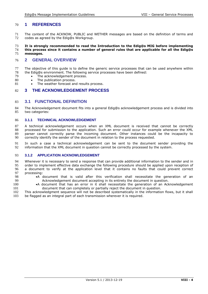# 70 **1 REFERENCES**

71 The content of the ACKNOW, PUBLIC and WETHER messages are based on the definition of terms and 72 codes as agreed by the Edig@s Workgroup codes as agreed by the Edig@s Workgroup.

### 73 **It is strongly recommended to read the Introduction to the Edig@s MIG before implementing**  74 **this process since it contains a number of general rules that are applicable for all the Edig@s**  messages.

# 76 **2 GENERAL OVERVIEW**

- 77 The objective of this guide is to define the generic service processes that can be used anywhere within 78 the Edig@s environment. The following service processes have been defined: the Edig@s environment. The following service processes have been defined:
- 79 The acknowledgement process.<br>80 The publication process.
- The publication process.
- 81 The weather forecast and results process.

# 82 **3 THE ACKNOWLEDGEMENT PROCESS**

# 83 **3.1 FUNCTIONAL DEFINITION**

84 The Acknowledgement document fits into a general Edig@s acknowledgement process and is divided into 85 two categories:

### 86 **3.1.1 TECHNICAL ACKNOWLEDGEMENT**

87 A technical acknowledgement occurs when an XML document is received that cannot be correctly 88 processed for submission to the application. Such an error could occur for example whenever the XML 89 parser cannot correctly parse the incoming document. Other instances could be the incapacity to 89 parser cannot correctly parse the incoming document. Other instances could be the incapacity to correctly identify the sender of the document in relation to the process requested. correctly identify the sender of the document in relation to the process requested.

91 In such a case a technical acknowledgement can be sent to the document sender providing the 92 information that the XML document in question cannot be correctly processed by the system. information that the XML document in question cannot be correctly processed by the system.

### 93 **3.1.2 APPLICATION ACKNOWLEDGEMENT**

94 Whenever it is necessary to send a response that can provide additional information to the sender and in 95 order to implement effective data exchange the following procedure should be applied upon reception of 96 a document to verify at the application level that it contains no faults that could prevent correct 96 a document to verify at the application level that it contains no faults that could prevent correct<br>97 processing: 97 processing:<br>98 •A

- 98 A document that is valid after this verification shall necessitate the generation of an 99 Acknowledgement document accepting in its entirety the document in question.
- 100 A document that has an error in it shall necessitate the generation of an Acknowledgement 101 document that can completely or partially reject the document in question.

102 This acknowledgment sequence will not be described systematically in the information flows, but it shall 103 be flagged as an integral part of each transmission wherever it is required.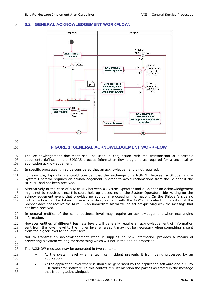# **3.2 GENERAL ACKNOWLEDGEMENT WORKFLOW.**



# <span id="page-4-0"></span>**FIGURE 1: GENERAL ACKNOWLEDGEMENT WORKFLOW**

107 The Acknowledgement document shall be used in conjunction with the transmission of electronic<br>108 documents defined in the EDIGAS process Information flow diagrams as required for a technical or documents defined in the EDIGAS process Information flow diagrams as required for a technical or application acknowledgement.

In specific processes it may be considered that an acknowledgement is not required.

 For example, typically one could consider that the exchange of a NOMINT between a Shipper and a System Operator requires an acknowledgement in order to avoid reclamations from the Shipper if the NOMINT had not been received.

 Alternatively in the case of a NOMRES between a System Operator and a Shipper an acknowledgement might not be required since this could hold up processing on the System Operators side waiting for the acknowledgement event that provides no additional processing information. On the Shipper's side no 117 further action can be taken if there is a disagreement with the NOMRES content. In addition if the 1888 18<br>118 Shipper does not receive the NOMRES an immediate alarm will be set off querving why the message had

118 Shipper does not receive the NOMRES an immediate alarm will be set off querying why the message had 119 not been received. not been received.

- In general entities of the same business level may require an acknowledgement when exchanging information.
- 122 However entities of different business levels will generally require an acknowledgement of information<br>123 sent from the lower level to the higher level whereas it may not be necessary when something is sent sent from the lower level to the higher level whereas it may not be necessary when something is sent from the higher level to the lower level.
- Not to transmit an acknowledgement when it supplies no new information provides a means of preventing a system waiting for something which will not in the end be processed.
- The ACKNOW message may be generated in two contexts:
- 129  $\rightarrow$  At the system level when a technical incident prevents it from being processed by an 130 application.
- 131 
At the application level where it should be generated by the application software and NOT by EDI-translator software. In this context it must mention the parties as stated in the message 133 that is being acknowledged.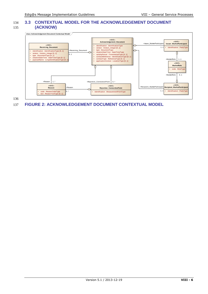# 134 **3.3 CONTEXTUAL MODEL FOR THE ACKNOWLEDGEMENT DOCUMENT**  135 **(ACKNOW)**







# <span id="page-5-0"></span>137 **FIGURE 2: ACKNOWLEDGEMENT DOCUMENT CONTEXTUAL MODEL**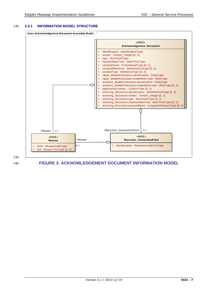### 138 **3.3.1 INFORMATION MODEL STRUCTURE**



139

# <span id="page-6-0"></span>140 **FIGURE 3: ACKNOWLEDGEMENT DOCUMENT INFORMATION MODEL**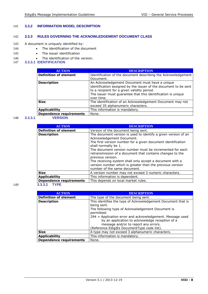# 141 **3.3.2 INFORMATION MODEL DESCRIPTION**

# 142 **3.3.3 RULES GOVERNING THE ACKNOWLEDGEMENT DOCUMENT CLASS**

- 143 A document is uniquely identified by:
- 144 The identification of the document
- 145 The issuer identification
- 146 The identification of the version.<br>147 3.3.3.1 IDENTIFICATION
- 147 **3.3.3.1 IDENTIFICATION**

| <b>ACTION</b>                  | <b>DESCRIPTION</b>                                                                                                                                                                                                                              |
|--------------------------------|-------------------------------------------------------------------------------------------------------------------------------------------------------------------------------------------------------------------------------------------------|
| <b>Definition of element</b>   | Identification of the document describing the Acknowledgement<br>Document.                                                                                                                                                                      |
| <b>Description</b>             | An Acknowledgement Document must have a unique<br>identification assigned by the issuer of the document to be sent<br>to a recipient for a given validity period.<br>The issuer must guarantee that this identification is unique<br>over time. |
| <b>Size</b>                    | The identification of an Acknowledgement Document may not<br>exceed 35 alphanumeric characters.                                                                                                                                                 |
| <b>Applicability</b>           | This information is mandatory.                                                                                                                                                                                                                  |
| <b>Dependence requirements</b> | None.                                                                                                                                                                                                                                           |

# 148 **3.3.3.1 VERSION**

| <b>ACTION</b>                  | <b>DESCRIPTION</b>                                                                                                                                                                                                                                                                                                                                                                                                                                                                         |
|--------------------------------|--------------------------------------------------------------------------------------------------------------------------------------------------------------------------------------------------------------------------------------------------------------------------------------------------------------------------------------------------------------------------------------------------------------------------------------------------------------------------------------------|
| <b>Definition of element</b>   | Version of the document being sent.                                                                                                                                                                                                                                                                                                                                                                                                                                                        |
| <b>Description</b>             | The document version is used to identify a given version of an<br>Acknowledgement Document.<br>The first version number for a given document identification<br>shall normally be 1.<br>The document version number must be incremented for each<br>retransmission of a document that contains changes to the<br>previous version.<br>The receiving system shall only accept a document with a<br>version number which is greater than the previous version<br>number of the same document. |
| <b>Size</b>                    | A version number may not exceed 3 numeric characters.                                                                                                                                                                                                                                                                                                                                                                                                                                      |
| <b>Applicability</b>           | This information is dependent.                                                                                                                                                                                                                                                                                                                                                                                                                                                             |
| <b>Dependence requirements</b> | This depends on local market rules.                                                                                                                                                                                                                                                                                                                                                                                                                                                        |
| <b>TYPE</b><br>3.3.3.2         |                                                                                                                                                                                                                                                                                                                                                                                                                                                                                            |

| <b>ACTION</b>                  | DESCRIPTION                                                                                                                                          |
|--------------------------------|------------------------------------------------------------------------------------------------------------------------------------------------------|
| <b>Definition of element</b>   | The type of the document being sent.                                                                                                                 |
| <b>Description</b>             | This identifies the type of Acknowledgement Document that is<br>being sent.                                                                          |
|                                | The following type of Acknowledgement Document is<br>permitted:                                                                                      |
|                                | 294 = Application error and acknowledgement. Message used<br>by an application to acknowledge reception of a<br>message and/or to report any errors. |
|                                | (Reference Edig@s DocumentType code list).                                                                                                           |
| <b>Size</b>                    | A type may not exceed 3 alphanumeric characters.                                                                                                     |
| <b>Applicability</b>           | This information is mandatory.                                                                                                                       |
| <b>Dependence requirements</b> | None.                                                                                                                                                |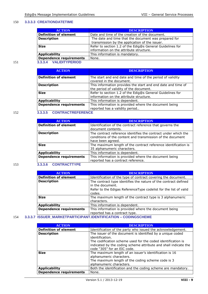### 150 **3.3.3.3 CREATIONDATETIME**

|     | <b>ACTION</b>                  | <b>DESCRIPTION</b>                                        |
|-----|--------------------------------|-----------------------------------------------------------|
|     | <b>Definition of element</b>   | Date and time of the creation of the document.            |
|     | <b>Description</b>             | The date and time that the document was prepared for      |
|     |                                | transmission by the application of the issuer.            |
|     | <b>Size</b>                    | Refer to section 1.2 of the Edig@s General Guidelines for |
|     |                                | information on the attribute structure.                   |
|     | <b>Applicability</b>           | This information is mandatory.                            |
|     | <b>Dependence requirements</b> | None.                                                     |
| 151 | 3.3.3.4 VALIDITYPERIOD         |                                                           |

| <b>ACTION</b>                  | <b>DESCRIPTION</b>                                                                                      |
|--------------------------------|---------------------------------------------------------------------------------------------------------|
| <b>Definition of element</b>   | The start and end date and time of the period of validity<br>covered in the document.                   |
| <b>Description</b>             | This information provides the start and end date and time of<br>the period of validity of the document. |
| <b>Size</b>                    | Refer to section 1.2 of the Edig@s General Guidelines for<br>information on the attribute structure.    |
| <b>Applicability</b>           | This information is dependent.                                                                          |
| <b>Dependence requirements</b> | This information is provided where the document being<br>reported has a validity period                 |

# 152 **3.3.3.5 CONTRACTREFERENCE**

| <b>ACTION</b>                  | <b>DESCRIPTION</b>                                             |
|--------------------------------|----------------------------------------------------------------|
| <b>Definition of element</b>   | Identification of the contract reference that governs the      |
|                                | document contents.                                             |
| <b>Description</b>             | The contract reference identifies the contract under which the |
|                                | conditions of the content and transmission of the document     |
|                                | have been agreed.                                              |
| <b>Size</b>                    | The maximum length of the contract reference identification is |
|                                | 35 alphanumeric characters.                                    |
| <b>Applicability</b>           | This information is dependent.                                 |
| <b>Dependence requirements</b> | This information is provided where the document being          |
|                                | reported has a contract reference.                             |

### 153 **3.3.3.6 CONTRACTTYPE**

| <b>ACTION</b>                  | <b>DESCRIPTION</b>                                                                  |
|--------------------------------|-------------------------------------------------------------------------------------|
| <b>Definition of element</b>   | Identification of the type of contract covering the document.                       |
| <b>Description</b>             | The contract type identifies the nature of the contract defined<br>in the document. |
|                                | Refer to the Edigas ReferenceType codelist for the list of valid<br>codes.          |
| <b>Size</b>                    | The maximum length of the contract type is 3 alphanumeric<br>characters.            |
| <b>Applicability</b>           | This information is dependent.                                                      |
| <b>Dependence requirements</b> | This information is provided where the document being                               |
| 1001100                        | reported has a contract type.<br>$\mathbf{R}$<br><b>AABINAAALIPMP</b>               |

# 154 **3.3.3.7 ISSUER\_MARKETPARTICIPANT.IDENTIFICATION – CODINGSCHEME**

| <b>ACTION</b>                  | <b>DESCRIPTION</b>                                                                                                                                                  |
|--------------------------------|---------------------------------------------------------------------------------------------------------------------------------------------------------------------|
| <b>Definition of element</b>   | Identification of the party who issued the acknowledgement.                                                                                                         |
| <b>Description</b>             | The issuer of the document is identified by a unique coded<br>identification.                                                                                       |
|                                | The codification scheme used for the coded identification is<br>indicated by the coding scheme attribute and shall indicate the<br>code "305" for an EIC code.      |
| <b>Size</b>                    | The maximum length of an issuer's identification is 16<br>alphanumeric characters.<br>The maximum length of the coding scheme code is 3<br>alphanumeric characters. |
| <b>Applicability</b>           | Both the identification and the coding scheme are mandatory.                                                                                                        |
| <b>Dependence requirements</b> | None.                                                                                                                                                               |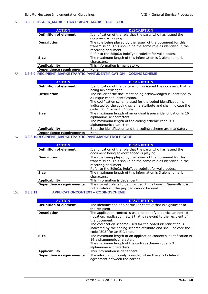# 155 **3.3.3.8 ISSUER\_MARKETPARTICIPANT.MARKETROLE.CODE**

| <b>ACTION</b>                  | <b>DESCRIPTION</b>                                                                                                                                                                                               |
|--------------------------------|------------------------------------------------------------------------------------------------------------------------------------------------------------------------------------------------------------------|
| <b>Definition of element</b>   | Identification of the role that the party who has issued the<br>document is playing.                                                                                                                             |
| <b>Description</b>             | The role being played by the issuer of the document for this<br>transmission. This should be the same role as identified in the<br>receiving document.<br>Refer to the Edig@s RoleType codelist for valid codes. |
| <b>Size</b>                    | The maximum length of this information is 3 alphanumeric<br>characters.                                                                                                                                          |
| <b>Applicability</b>           | This information is mandatory.                                                                                                                                                                                   |
| <b>Dependence requirements</b> | None.                                                                                                                                                                                                            |

# 156 **3.3.3.9 RECIPIENT\_MARKETPARTICIPANT.IDENTIFICATION – CODINGSCHEME**

| <b>ACTION</b>                  | <b>DESCRIPTION</b>                                                                                                                                                                                                                                                 |
|--------------------------------|--------------------------------------------------------------------------------------------------------------------------------------------------------------------------------------------------------------------------------------------------------------------|
| <b>Definition of element</b>   | Identification of the party who has issued the document that is<br>being acknowledged.                                                                                                                                                                             |
| <b>Description</b>             | The issuer of the document being acknowledged is identified by<br>a unique coded identification.<br>The codification scheme used for the coded identification is<br>indicated by the coding scheme attribute and shall indicate the<br>code "305" for an EIC code. |
| <b>Size</b>                    | The maximum length of an original issuer's identification is 16<br>alphanumeric characters.<br>The maximum length of the coding scheme code is 3<br>alphanumeric characters.                                                                                       |
| <b>Applicability</b>           | Both the identification and the coding scheme are mandatory.                                                                                                                                                                                                       |
| <b>Dependence requirements</b> | None.                                                                                                                                                                                                                                                              |

# 157 **3.3.3.10RECIPIENT\_MARKETPARTICIPANT.MARKETROLE.CODE**

| <b>ACTION</b>                     | <b>DESCRIPTION</b>                                                                                                                                                                                               |
|-----------------------------------|------------------------------------------------------------------------------------------------------------------------------------------------------------------------------------------------------------------|
| <b>Definition of element</b>      | Identification of the role that the party who has issued the<br>document being acknowledged is playing.                                                                                                          |
| <b>Description</b>                | The role being played by the issuer of the document for this<br>transmission. This should be the same role as identified in the<br>receiving document.<br>Refer to the Edig@s RoleType codelist for valid codes. |
| <b>Size</b>                       | The maximum length of this information is 3 alphanumeric<br>characters.                                                                                                                                          |
| <b>Applicability</b>              | This information is dependent.                                                                                                                                                                                   |
| <b>Dependence requirements</b>    | The market role is to be provided if it is known. Generally it is<br>not available if the payload cannot be read.                                                                                                |
| CODIMOCOUTME<br>ADDUCATIONCONTEVT |                                                                                                                                                                                                                  |

# 158 **3.3.3.11 APPLICATIONCONTEXT – CODINGSCHEME**

| <b>ACTION</b>                  | <b>DESCRIPTION</b>                                                 |
|--------------------------------|--------------------------------------------------------------------|
| <b>Definition of element</b>   | The identification of a particular context that is significant to  |
|                                | the recipient.                                                     |
| <b>Description</b>             | The application context is used to identify a particular context   |
|                                | (location, application, etc.) that is relevant to the recipient of |
|                                | the document.                                                      |
|                                | The codification scheme used for the coded identification is       |
|                                | indicated by the coding scheme attribute and shall indicate the    |
|                                | code "305" for an EIC code.                                        |
| <b>Size</b>                    | The maximum length of an application context's identification is   |
|                                | 16 alphanumeric characters.                                        |
|                                | The maximum length of the coding scheme code is 3                  |
|                                | alphanumeric characters.                                           |
| <b>Applicability</b>           | This information is dependent.                                     |
| <b>Dependence requirements</b> | The information is only provided when there is bi lateral          |
|                                | agreement between the parties.                                     |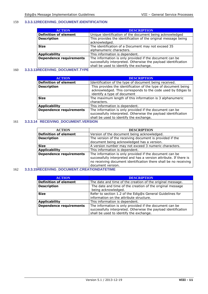# 159 **3.3.3.12RECEIVING\_DOCUMENT.IDENTIFICATION**

| <b>ACTION</b>                  | <b>DESCRIPTION</b>                                                                                                                                                   |
|--------------------------------|----------------------------------------------------------------------------------------------------------------------------------------------------------------------|
| <b>Definition of element</b>   | Unique identification of the document being acknowledged                                                                                                             |
| <b>Description</b>             | This provides the identification of the original message being<br>acknowledged.                                                                                      |
| <b>Size</b>                    | The identification of a Document may not exceed 35<br>alphanumeric characters.                                                                                       |
| <b>Applicability</b>           | This information is dependent.                                                                                                                                       |
| <b>Dependence requirements</b> | The information is only provided if the document can be<br>successfully interpreted. Otherwise the payload identification<br>shall be used to identify the exchange. |

# 160 **3.3.3.13RECEIVING\_DOCUMENT.TYPE**

| <b>ACTION</b>                  | <b>DESCRIPTION</b>                                                                                                                                                   |
|--------------------------------|----------------------------------------------------------------------------------------------------------------------------------------------------------------------|
| <b>Definition of element</b>   | Identification of the type of document being received.                                                                                                               |
| <b>Description</b>             | This provides the identification of the type of document being<br>acknowledged. This corresponds to the code used by Edigas to<br>identify a type of document        |
| <b>Size</b>                    | The maximum length of this information is 3 alphanumeric<br>characters.                                                                                              |
| <b>Applicability</b>           | This information is dependent.                                                                                                                                       |
| <b>Dependence requirements</b> | The information is only provided if the document can be<br>successfully interpreted. Otherwise the payload identification<br>shall be used to identify the exchange. |

# 161 **3.3.3.14 RECEIVING\_DOCUMENT.VERSION**

| <b>ACTION</b>                  | <b>DESCRIPTION</b>                                                                                                                                                                                                    |  |
|--------------------------------|-----------------------------------------------------------------------------------------------------------------------------------------------------------------------------------------------------------------------|--|
| <b>Definition of element</b>   | Version of the document being acknowledged.                                                                                                                                                                           |  |
| <b>Description</b>             | The version of the receiving document is provided if the                                                                                                                                                              |  |
|                                | document being acknowledged has a version.                                                                                                                                                                            |  |
| <b>Size</b>                    | A version number may not exceed 3 numeric characters.                                                                                                                                                                 |  |
| <b>Applicability</b>           | This information is dependent.                                                                                                                                                                                        |  |
| <b>Dependence requirements</b> | The information is only provided if the document can be<br>successfully interpreted and has a version attribute. If there is<br>no receiving document identification there shall be no receiving<br>document version. |  |

### 162 **3.3.3.15RECEIVING\_DOCUMENT.CREATIONDATETIME**

| <b>ACTION</b>                  | <b>DESCRIPTION</b>                                             |
|--------------------------------|----------------------------------------------------------------|
| <b>Definition of element</b>   | The date and time of the creation of the original message.     |
| <b>Description</b>             | The date and time of the creation of the original message      |
|                                | being acknowledged.                                            |
| <b>Size</b>                    | Refer to section 1.2 of the Edig@s General Guidelines for      |
|                                | information on the attribute structure.                        |
| <b>Applicability</b>           | This information is dependent.                                 |
| <b>Dependence requirements</b> | The information is only provided if the document can be        |
|                                | successfully interpreted. Otherwise the payload identification |
|                                | shall be used to identify the exchange.                        |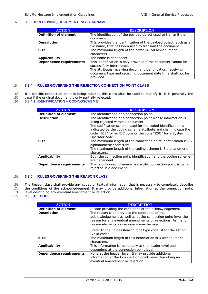# 163 **3.3.3.16RECEIVING\_DOCUMENT.PAYLOADNAME**

| <b>ACTION</b>                  | <b>DESCRIPTION</b>                                                |
|--------------------------------|-------------------------------------------------------------------|
| <b>Definition of element</b>   | The identification of the payload object used to transmit the     |
|                                | document.                                                         |
| <b>Description</b>             | This provides the identification of the payload object, such as a |
|                                | file name, that has been used to transmit the document.           |
| <b>Size</b>                    | The maximum length of the name is 150 alphanumeric                |
|                                | characters.                                                       |
| <b>Applicability</b>           | The name is dependent.                                            |
| <b>Dependence requirements</b> | This identification is only provided if the document cannot be    |
|                                | successfully interpreted.                                         |
|                                | The attributes receiving document identification, receiving       |
|                                | document type and receiving document date time shall not be       |
|                                | provided.                                                         |

### 164 **3.3.4 RULES GOVERNING THE REJECTION CONNECTION POINT CLASS**

165 If a specific connection point is being rejected this class shall be used to identify it. It is generally the 166 case if the original document is only partially rejected.

166 case if the original document is only partially rejected.<br>167 3.3.4.1 **IDENTIFICATION - CODINGSCHEME** 

### 167 **3.3.4.1 IDENTIFICATION – CODINGSCHEME**

| <b>ACTION</b>                  | <b>DESCRIPTION</b>                                                                                                                                                                                                                                                                                                   |
|--------------------------------|----------------------------------------------------------------------------------------------------------------------------------------------------------------------------------------------------------------------------------------------------------------------------------------------------------------------|
| <b>Definition of element</b>   | The identification of a connection point.                                                                                                                                                                                                                                                                            |
| <b>Description</b>             | The identification of a connection point whose information is<br>being rejected within a document.<br>The codification scheme used for the coded identification is<br>indicated by the coding scheme attribute and shall indicate the<br>code "305" for an EIC code or the code "ZSO" for a System<br>Operator code. |
| <b>Size</b>                    | The maximum length of the connection point identification is 16<br>alphanumeric characters.<br>The maximum length of the coding scheme is 3 alphanumeric<br>characters.                                                                                                                                              |
| <b>Applicability</b>           | Both the connection point identification and the coding scheme<br>are dependent.                                                                                                                                                                                                                                     |
| <b>Dependence requirements</b> | This is only used whenever a specific connection point is being<br>rejected in a document.                                                                                                                                                                                                                           |

### 168 **3.3.5 RULES GOVERNING THE REASON CLASS**

- 169 The Reason class shall provide any coded or textual information that is necessary to completely describe<br>170 the conditions of the acknowledgement. It may provide additional information at the connection point the conditions of the acknowledgement. It may provide additional information at the connection point
- 171 level describing any eventual amendment or rejection.
- 172 **3.3.5.1 CODE**

| <b>ACTION</b>                  | <b>DESCRIPTION</b>                                                                                                                                                                                                       |
|--------------------------------|--------------------------------------------------------------------------------------------------------------------------------------------------------------------------------------------------------------------------|
| <b>Definition of element</b>   | A code providing the conditions of the acknowledgement.                                                                                                                                                                  |
| <b>Description</b>             | The reason code provides the conditions of the<br>acknowledgement as well as at the connection point level the<br>reason for any eventual amendments or rejections. As many<br>reason elements as necessary may be used. |
|                                | Refer to the Edigas ReasonCodeType codelist for the list of<br>valid codes.                                                                                                                                              |
| <b>Size</b>                    | The maximum length of this information is 3 alphanumeric<br>characters.                                                                                                                                                  |
| <b>Applicability</b>           | This information is mandatory at the header level and<br>dependent at the connection point level.                                                                                                                        |
| <b>Dependence requirements</b> | None at the header level. It may provide additional<br>information at the Cconnection point Level describing an<br>eventual amendment or rejection.                                                                      |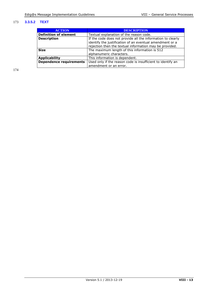# 173 **3.3.5.2 TEXT**

| <b>ACTION</b>                  | <b>DESCRIPTION</b>                                          |
|--------------------------------|-------------------------------------------------------------|
| <b>Definition of element</b>   | Textual explanation of the reason code.                     |
| <b>Description</b>             | If the code does not provide all the information to clearly |
|                                | identify the justification of an eventual amendment or a    |
|                                | rejection then the textual information may be provided.     |
| <b>Size</b>                    | The maximum length of this information is 512               |
|                                | alphanumeric characters.                                    |
| <b>Applicability</b>           | This information is dependent.                              |
| <b>Dependence requirements</b> | Used only if the reason code is insufficient to identify an |
|                                | amendment or an error.                                      |

174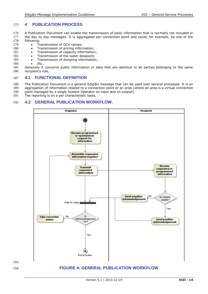# 175 **4 PUBLICATION PROCESS**

- 176 A Publication Document can enable the transmission of basic information that is normally not included in 177 the day to day messages. It is aggregated per connection point and could, for example, be one of the 177 the day to day messages. It is aggregated per connection point and could, for example, be one of the 178 following:
- 178 following:<br>179 · Tr
- 179 Transmission of GCV values;<br>180 Transmission of pricing inform
- 180 Transmission of pricing information;<br>181 Transmission of capacity information
- 181 Transmission of capacity information;<br>182 Transmission of the water dewpoint:
- 182 Transmission of the water dewpoint;<br>183 Transmission of dumping information
- 183 Transmission of dumping information;<br>184 Etc..
- Etc..

<span id="page-13-0"></span>193

185 Generally it concerns public information or data that are identical to all parties belonging to the same<br>186 recipient's role. recipient's role.

# 187 **4.1 FUNCTIONAL DEFINITION**

188 The Publication Document is a general Edig@s message that can be used over several processes. It is an 189 aggregation of information related to a connection point or an area (where an area is a virtual connection

- 190 point managed by a single System Operator on input and on output).
- 191 The reporting is on a per characteristic basis.

# 192 **4.2 GENERAL PUBLICATION WORKFLOW.**

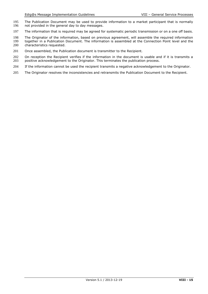- 195 The Publication Document may be used to provide information to a market participant that is normally 196 not provided in the general day to day messages. not provided in the general day to day messages.
- 197 The information that is required may be agreed for systematic periodic transmission or on a one off basis.

198 The Originator of the information, based on previous agreement, will assemble the required information<br>199 together in a Publication Document. The information is assembled at the Connection Point level and the 199 together in a Publication Document. The information is assembled at the Connection Point level and the 200 characteristics requested. characteristics requested.

201 Once assembled, the Publication document is transmitter to the Recipient.

202 On reception the Recipient verifies if the information in the document is usable and if it is transmits a<br>203 positive acknowledgement to the Originator. This terminates the publication process. 203 positive acknowledgement to the Originator. This terminates the publication process.

- 204 If the information cannot be used the recipient transmits a negative acknowledgement to the Originator.
- 205 The Originator resolves the inconsistencies and retransmits the Publication Document to the Recipient.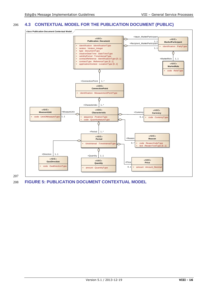# 206 **4.3 CONTEXTUAL MODEL FOR THE PUBLICATION DOCUMENT (PUBLIC)**



207

<span id="page-15-0"></span>208 **FIGURE 5: PUBLICATION DOCUMENT CONTEXTUAL MODEL**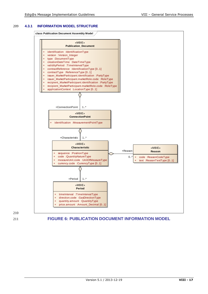# 209 **4.3.1 INFORMATION MODEL STRUCTURE**





210

<span id="page-16-0"></span>211 **FIGURE 6: PUBLICATION DOCUMENT INFORMATION MODEL**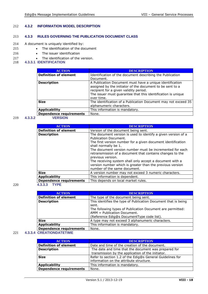# 212 **4.3.2 INFORMATION MODEL DESCRIPTION**

# 213 **4.3.3 RULES GOVERNING THE PUBLICATION DOCUMENT CLASS**

- 214 A document is uniquely identified by:
- 215 The identification of the document
- 216 The issuer identification
- 217 The identification of the version.<br>218 **4.3.3.1 IDENTIFICATION**
- 218 **4.3.3.1 IDENTIFICATION**

| <b>ACTION</b>                | <b>DESCRIPTION</b>                                                                                                                                                                                                                            |
|------------------------------|-----------------------------------------------------------------------------------------------------------------------------------------------------------------------------------------------------------------------------------------------|
| <b>Definition of element</b> | Identification of the document describing the Publication<br>Document.                                                                                                                                                                        |
| <b>Description</b>           | A Publication Document must have a unique identification<br>assigned by the initiator of the document to be sent to a<br>recipient for a given validity period.<br>The issuer must guarantee that this identification is unique<br>over time. |
| <b>Size</b>                  | The identification of a Publication Document may not exceed 35<br>alphanumeric characters.                                                                                                                                                    |
| <b>Applicability</b>         | This information is mandatory.                                                                                                                                                                                                                |
| Dependence requirements      | None.                                                                                                                                                                                                                                         |

# 219 **4.3.3.2 VERSION**

| <b>ACTION</b>                  | <b>DESCRIPTION</b>                                                                                                                                                                                                                                                                                                                                                                                                                                                                    |
|--------------------------------|---------------------------------------------------------------------------------------------------------------------------------------------------------------------------------------------------------------------------------------------------------------------------------------------------------------------------------------------------------------------------------------------------------------------------------------------------------------------------------------|
| <b>Definition of element</b>   | Version of the document being sent.                                                                                                                                                                                                                                                                                                                                                                                                                                                   |
| <b>Description</b>             | The document version is used to identify a given version of a<br>Publication Document.<br>The first version number for a given document identification<br>shall normally be 1.<br>The document version number must be incremented for each<br>retransmission of a document that contains changes to the<br>previous version.<br>The receiving system shall only accept a document with a<br>version number which is greater than the previous version<br>number of the same document. |
| <b>Size</b>                    | A version number may not exceed 3 numeric characters.                                                                                                                                                                                                                                                                                                                                                                                                                                 |
| <b>Applicability</b>           | This information is dependent.                                                                                                                                                                                                                                                                                                                                                                                                                                                        |
| <b>Dependence requirements</b> | This depends on local market rules.                                                                                                                                                                                                                                                                                                                                                                                                                                                   |
| <b>TYPE</b><br>4.3.3.3         |                                                                                                                                                                                                                                                                                                                                                                                                                                                                                       |

| <b>ACTION</b>                  | <b>DESCRIPTION</b>                                             |
|--------------------------------|----------------------------------------------------------------|
| <b>Definition of element</b>   | The type of the document being sent.                           |
| <b>Description</b>             | This identifies the type of Publication Document that is being |
|                                | sent.                                                          |
|                                | The following types of Publication Document are permitted:     |
|                                | AMM = Publication Document.                                    |
|                                | (Reference Edig@s DocumentType code list).                     |
| <b>Size</b>                    | A type may not exceed 3 alphanumeric characters.               |
| <b>Applicability</b>           | This information is mandatory.                                 |
| <b>Dependence requirements</b> | None.                                                          |

### 221 **4.3.3.4 CREATIONDATETIME**

| <b>ACTION</b>                  | <b>DESCRIPTION</b>                                        |  |  |  |  |
|--------------------------------|-----------------------------------------------------------|--|--|--|--|
| <b>Definition of element</b>   | Date and time of the creation of the document.            |  |  |  |  |
| <b>Description</b>             | The date and time that the document was prepared for      |  |  |  |  |
|                                | transmission by the application of the initiator.         |  |  |  |  |
| <b>Size</b>                    | Refer to section 1.2 of the Edig@s General Guidelines for |  |  |  |  |
|                                | information on the attribute structure.                   |  |  |  |  |
| <b>Applicability</b>           | This information is mandatory.                            |  |  |  |  |
| <b>Dependence requirements</b> | None.                                                     |  |  |  |  |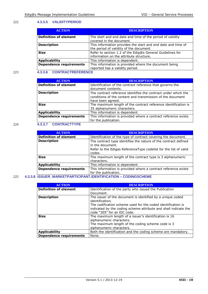### 222 **4.3.3.5 VALIDITYPERIOD**

| <b>ACTION</b>                  | <b>DESCRIPTION</b>                                           |  |  |  |  |
|--------------------------------|--------------------------------------------------------------|--|--|--|--|
| <b>Definition of element</b>   | The start and end date and time of the period of validity    |  |  |  |  |
|                                | covered in the document.                                     |  |  |  |  |
| <b>Description</b>             | This information provides the start and end date and time of |  |  |  |  |
|                                | the period of validity of the document.                      |  |  |  |  |
| <b>Size</b>                    | Refer to section 1.2 of the Edig@s General Guidelines for    |  |  |  |  |
|                                | information on the attribute structure.                      |  |  |  |  |
| <b>Applicability</b>           | This information is dependent.                               |  |  |  |  |
| <b>Dependence requirements</b> | This information is provided where the document being        |  |  |  |  |
|                                | reported has a validity period.                              |  |  |  |  |

# 223 **4.3.3.6 CONTRACTREFERENCE**

| <b>ACTION</b>                  | <b>DESCRIPTION</b>                                                                                                                                |
|--------------------------------|---------------------------------------------------------------------------------------------------------------------------------------------------|
| <b>Definition of element</b>   | Identification of the contract reference that governs the<br>document contents.                                                                   |
| <b>Description</b>             | The contract reference identifies the contract under which the<br>conditions of the content and transmission of the document<br>have been agreed. |
| <b>Size</b>                    | The maximum length of the contract reference identification is<br>35 alphanumeric characters.                                                     |
| <b>Applicability</b>           | This information is dependent.                                                                                                                    |
| <b>Dependence requirements</b> | This information is provided where a contract reference exists<br>for the publication.                                                            |

# 224 **4.3.3.7 CONTRACTTYPE**

| <b>ACTION</b>                  | <b>DESCRIPTION</b>                                                                     |  |  |  |  |  |
|--------------------------------|----------------------------------------------------------------------------------------|--|--|--|--|--|
| <b>Definition of element</b>   | Identification of the type of contract covering the document.                          |  |  |  |  |  |
| <b>Description</b>             | The contract type identifies the nature of the contract defined<br>in the document.    |  |  |  |  |  |
|                                | Refer to the Edigas ReferenceType codelist for the list of valid<br>codes.             |  |  |  |  |  |
| <b>Size</b>                    | The maximum length of the contract type is 3 alphanumeric<br>characters.               |  |  |  |  |  |
| <b>Applicability</b>           | This information is dependent.                                                         |  |  |  |  |  |
| <b>Dependence requirements</b> | This information is provided where a contract reference exists<br>for the publication. |  |  |  |  |  |

# 225 **4.3.3.8 ISSUER\_MARKETPARTICIPANT.IDENTIFICATION – CODINGSCHEME**

| <b>ACTION</b>                  | <b>DESCRIPTION</b>                                                                                                              |  |  |  |  |  |
|--------------------------------|---------------------------------------------------------------------------------------------------------------------------------|--|--|--|--|--|
| <b>Definition of element</b>   | Identification of the party who issued the Publication                                                                          |  |  |  |  |  |
|                                | Document.                                                                                                                       |  |  |  |  |  |
| <b>Description</b>             | The issuer of the document is identified by a unique coded<br>identification.                                                   |  |  |  |  |  |
|                                | The codification scheme used for the coded identification is<br>indicated by the coding scheme attribute and shall indicate the |  |  |  |  |  |
|                                | code "305" for an EIC code.                                                                                                     |  |  |  |  |  |
| <b>Size</b>                    | The maximum length of a issuer's identification is 16                                                                           |  |  |  |  |  |
|                                | alphanumeric characters.                                                                                                        |  |  |  |  |  |
|                                | The maximum length of the coding scheme code is 3                                                                               |  |  |  |  |  |
|                                | alphanumeric characters.                                                                                                        |  |  |  |  |  |
| <b>Applicability</b>           | Both the identification and the coding scheme are mandatory.                                                                    |  |  |  |  |  |
| <b>Dependence requirements</b> | None.                                                                                                                           |  |  |  |  |  |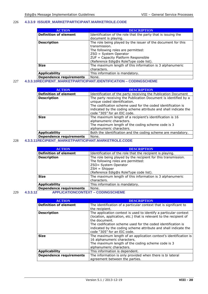# 226 **4.3.3.9 ISSUER\_MARKETPARTICIPANT.MARKETROLE.CODE**

| <b>ACTION</b>                  | <b>DESCRIPTION</b>                                            |  |  |  |  |  |
|--------------------------------|---------------------------------------------------------------|--|--|--|--|--|
| <b>Definition of element</b>   | Identification of the role that the party that is issuing the |  |  |  |  |  |
|                                | document is playing.                                          |  |  |  |  |  |
| <b>Description</b>             | The role being played by the issuer of the document for this  |  |  |  |  |  |
|                                | transmission.                                                 |  |  |  |  |  |
|                                | The following roles are permitted:                            |  |  |  |  |  |
|                                | $ZSO = System Operator$                                       |  |  |  |  |  |
|                                | ZUF = Capacity Platform Responsible                           |  |  |  |  |  |
|                                | (Reference Edig@s RoleType code list).                        |  |  |  |  |  |
| <b>Size</b>                    | The maximum length of this information is 3 alphanumeric      |  |  |  |  |  |
|                                | characters.                                                   |  |  |  |  |  |
| <b>Applicability</b>           | This information is mandatory.                                |  |  |  |  |  |
| <b>Dependence requirements</b> | None.                                                         |  |  |  |  |  |

# 227 **4.3.3.10RECIPIENT\_MARKETPARTICIPANT.IDENTIFICATION – CODINGSCHEME**

| <b>ACTION</b>                  | <b>DESCRIPTION</b>                                                                                                                                                                                                                                                |
|--------------------------------|-------------------------------------------------------------------------------------------------------------------------------------------------------------------------------------------------------------------------------------------------------------------|
| <b>Definition of element</b>   | Identification of the party receiving the Publication Document                                                                                                                                                                                                    |
| <b>Description</b>             | The party receiving the Publication Document is identified by a<br>unique coded identification.<br>The codification scheme used for the coded identification is<br>indicated by the coding scheme attribute and shall indicate the<br>code "305" for an EIC code. |
| <b>Size</b>                    | The maximum length of a recipient's identification is 16<br>alphanumeric characters.<br>The maximum length of the coding scheme code is 3<br>alphanumeric characters.                                                                                             |
| <b>Applicability</b>           | Both the identification and the coding scheme are mandatory.                                                                                                                                                                                                      |
| <b>Dependence requirements</b> | None.                                                                                                                                                                                                                                                             |

### 228 **4.3.3.11RECIPIENT\_MARKETPARTICIPANT.MARKETROLE.CODE**

| <b>ACTION</b>                  | <b>DESCRIPTION</b>                                                                                                                                                                       |
|--------------------------------|------------------------------------------------------------------------------------------------------------------------------------------------------------------------------------------|
| <b>Definition of element</b>   | Identification of the role that the recipient is playing.                                                                                                                                |
| <b>Description</b>             | The role being played by the recipient for this transmission.<br>The following roles are permitted:<br>ZSO= System Operator<br>$ZSH = Shipper$<br>(Reference Edig@s RoleType code list). |
| <b>Size</b>                    | The maximum length of this information is 3 alphanumeric<br>characters.                                                                                                                  |
| <b>Applicability</b>           | This information is mandatory.                                                                                                                                                           |
| <b>Dependence requirements</b> | None.                                                                                                                                                                                    |

### 229 **4.3.3.12 APPLICATIONCONTEXT – CODINGSCHEME**

| <b>ACTION</b>                  | <b>DESCRIPTION</b>                                                                                                                                                                                                                                                                                                        |  |  |  |  |
|--------------------------------|---------------------------------------------------------------------------------------------------------------------------------------------------------------------------------------------------------------------------------------------------------------------------------------------------------------------------|--|--|--|--|
| <b>Definition of element</b>   | The identification of a particular context that is significant to<br>the recipient.                                                                                                                                                                                                                                       |  |  |  |  |
| <b>Description</b>             | The application context is used to identify a particular context<br>(location, application, etc.) that is relevant to the recipient of<br>the document.<br>The codification scheme used for the coded identification is<br>indicated by the coding scheme attribute and shall indicate the<br>code "305" for an EIC code. |  |  |  |  |
| <b>Size</b>                    | The maximum length of an application context's identification is<br>16 alphanumeric characters.<br>The maximum length of the coding scheme code is 3<br>alphanumeric characters.                                                                                                                                          |  |  |  |  |
| <b>Applicability</b>           | This information is dependent.                                                                                                                                                                                                                                                                                            |  |  |  |  |
| <b>Dependence requirements</b> | The information is only provided when there is bi lateral<br>agreement between the parties.                                                                                                                                                                                                                               |  |  |  |  |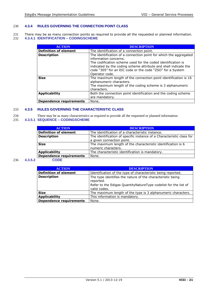# 230 **4.3.4 RULES GOVERNING THE CONNECTION POINT CLASS**

231 There may be as many connection points as required to provide all the requested or planned information.<br>232 4.3.4.1 IDENTIFICATION – CODINGSCHEME 232 **4.3.4.1 IDENTIFICATION – CODINGSCHEME**

| <b>ACTION</b>                  | <b>DESCRIPTION</b>                                                                                                                                                                                                                                                                         |
|--------------------------------|--------------------------------------------------------------------------------------------------------------------------------------------------------------------------------------------------------------------------------------------------------------------------------------------|
| <b>Definition of element</b>   | The identification of a connection point.                                                                                                                                                                                                                                                  |
| <b>Description</b>             | The identification of a connection point for which the aggregated<br>information concerns.<br>The codification scheme used for the coded identification is<br>indicated by the coding scheme attribute and shall indicate the<br>code "305" for an EIC code or the code "ZSO" for a System |
| <b>Size</b>                    | Operator code.<br>The maximum length of the connection point identification is 16<br>alphanumeric characters.<br>The maximum length of the coding scheme is 3 alphanumeric<br>characters.                                                                                                  |
| <b>Applicability</b>           | Both the connection point identification and the coding scheme<br>are mandatory.                                                                                                                                                                                                           |
| <b>Dependence requirements</b> | None.                                                                                                                                                                                                                                                                                      |

### 233 **4.3.5 RULES GOVERNING THE CHARACTERISTIC CLASS**

234 There may be as many characteristics as required to provide all the requested or planned information.

# 235 **4.3.5.1 SEQUENCE – CODINGSCHEME**

| <b>DESCRIPTION</b>                                                    |
|-----------------------------------------------------------------------|
| The identification of a characteristic instance.                      |
| The identification of specific instance of a Characteristic class for |
| a given connection point.                                             |
| The maximum length of the characteristic identification is 6          |
| numeric characters.                                                   |
| The characteristic identification is mandatory.                       |
| None.                                                                 |
|                                                                       |

### 236 **4.3.5.2**

|  | חר: |   |  |
|--|-----|---|--|
|  |     | - |  |
|  |     |   |  |
|  |     |   |  |

| <b>ACTION</b>                  | <b>DESCRIPTION</b>                                                              |
|--------------------------------|---------------------------------------------------------------------------------|
| <b>Definition of element</b>   | Identification of the type of characteristic being reported.                    |
| <b>Description</b>             | The type identifies the nature of the characteristic being<br>reported.         |
|                                | Refer to the Edigas QuantityNatureType codelist for the list of<br>valid codes. |
| <b>Size</b>                    | The maximum length of the type is 3 alphanumeric characters.                    |
| <b>Applicability</b>           | This information is mandatory.                                                  |
| <b>Dependence requirements</b> | None.                                                                           |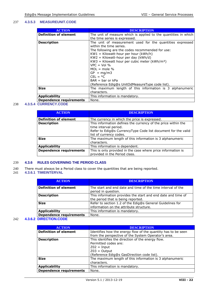### 237 **4.3.5.3 MEASUREUNIT.CODE**

| <b>ACTION</b>                  | DESCRIPTION                                                     |
|--------------------------------|-----------------------------------------------------------------|
| <b>Definition of element</b>   | The unit of measure which is applied to the quantities in which |
|                                | the time series is expressed.                                   |
| <b>Description</b>             | The unit of measurement used for the quantities expressed       |
|                                | within the time series.                                         |
|                                | The following are the codes recommended for use:                |
|                                | $KW1 = Kilowatt-hour per hour (kWh/h)$                          |
|                                | $KW2 = Kilowatt-hour per day (kWh/d)$                           |
|                                | $KW3$ = Kilowatt hour per cubic meter ( $kWh/m^3$ )             |
|                                | $VPC = Vol$ %                                                   |
|                                | $MOL = mole$ %                                                  |
|                                | $GP = mq/m3$                                                    |
|                                | $CEL = oC$                                                      |
|                                | $BAR = bar$ or $kPa$                                            |
|                                | (Reference Edig@s UnitOdMeasureType code list).                 |
| <b>Size</b>                    | The maximum length of this information is 3 alphanumeric        |
|                                | characters.                                                     |
| <b>Applicability</b>           | This information is mandatory.                                  |
| <b>Dependence requirements</b> | None.                                                           |

### 238 **4.3.5.4 CURRENCY.CODE**

| <b>ACTION</b>                  | <b>DESCRIPTION</b>                                                                                                                                                                 |
|--------------------------------|------------------------------------------------------------------------------------------------------------------------------------------------------------------------------------|
| <b>Definition of element</b>   | The currency in which the price is expressed.                                                                                                                                      |
| <b>Description</b>             | This information defines the currency of the price within the<br>time interval period.<br>Refer to Edig@s CurrencyType Code list document for the valid<br>list of currency codes. |
| <b>Size</b>                    | The maximum length of this information is 3 alphanumeric<br>characters.                                                                                                            |
| <b>Applicability</b>           | This information is dependent.                                                                                                                                                     |
| <b>Dependence requirements</b> | This is only provided in the case where price information is<br>provided in the Period class.                                                                                      |

# 239 **4.3.6 RULES GOVERNING THE PERIOD CLASS**

- 240 There must always be a Period class to cover the quantities that are being reported.
- 241 **4.3.6.1 TIMEINTERVAL**

| <b>ACTION</b>                  | <b>DESCRIPTION</b>                                                                                   |
|--------------------------------|------------------------------------------------------------------------------------------------------|
| <b>Definition of element</b>   | The start and end date and time of the time interval of the<br>period in question.                   |
| <b>Description</b>             | This information provides the start and end date and time of<br>the period that is being reported.   |
| <b>Size</b>                    | Refer to section 1.2 of the Edig@s General Guidelines for<br>information on the attribute structure. |
| <b>Applicability</b>           | This information is mandatory.                                                                       |
| <b>Dependence requirements</b> | None.                                                                                                |

### 242 **4.3.6.2 DIRECTION.CODE**

| <b>ACTION</b>                  | <b>DESCRIPTION</b>                                            |
|--------------------------------|---------------------------------------------------------------|
| <b>Definition of element</b>   | Identifies how the energy flow of the quantity has to be seen |
|                                | from the perspective of the System Operator's area.           |
| <b>Description</b>             | This identifies the direction of the energy flow.             |
|                                | Permitted codes are:                                          |
|                                | $Z02 = Input$                                                 |
|                                | $Z03 =$ Output                                                |
|                                | (Reference Edig@s GasDirection code list).                    |
| <b>Size</b>                    | The maximum length of this information is 3 alphanumeric      |
|                                | characters.                                                   |
| <b>Applicability</b>           | This information is mandatory.                                |
| <b>Dependence requirements</b> | None.                                                         |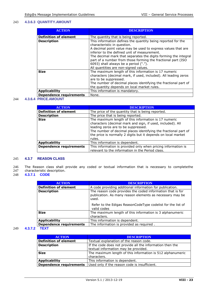# 243 **4.3.6.3 QUANTITY.AMOUNT**

| <b>ACTION</b>                  | <b>DESCRIPTION</b>                                                                                                                                                                                                                                                                                                                                                                                                               |
|--------------------------------|----------------------------------------------------------------------------------------------------------------------------------------------------------------------------------------------------------------------------------------------------------------------------------------------------------------------------------------------------------------------------------------------------------------------------------|
| <b>Definition of element</b>   | The quantity that is being reported.                                                                                                                                                                                                                                                                                                                                                                                             |
| <b>Description</b>             | This information defines the quantity being reported for the<br>characteristic in question.<br>A decimal point value may be used to express values that are<br>inferior to the defined unit of measurement.<br>The decimal mark that separates the digits forming the integral<br>part of a number from those forming the fractional part (ISO<br>6093) shall always be a period (".").<br>All quantities are non-signed values. |
| <b>Size</b>                    | The maximum length of this information is 17 numeric<br>characters (decimal mark, if used, included). All leading zeros<br>are to be suppressed.<br>The number of decimal places identifying the fractional part of<br>the quantity depends on local market rules.                                                                                                                                                               |
| <b>Applicability</b>           | This information is mandatory.                                                                                                                                                                                                                                                                                                                                                                                                   |
| <b>Dependence requirements</b> | None.                                                                                                                                                                                                                                                                                                                                                                                                                            |

### 244 **4.3.6.4 PRICE.AMOUNT**

| <b>ACTION</b>                  | <b>DESCRIPTION</b>                                                                                                                                                                                                                                                                                      |
|--------------------------------|---------------------------------------------------------------------------------------------------------------------------------------------------------------------------------------------------------------------------------------------------------------------------------------------------------|
| <b>Definition of element</b>   | The price of the quantity that is being reported.                                                                                                                                                                                                                                                       |
| <b>Description</b>             | The price that is being reported.                                                                                                                                                                                                                                                                       |
| <b>Size</b>                    | The maximum length of this information is 17 numeric<br>characters (decimal mark and sign, if used, included). All<br>leading zeros are to be suppressed.<br>The number of decimal places identifying the fractional part of<br>the price is normally 2 digits but it depends on local market<br>rules. |
| <b>Applicability</b>           | This information is dependent.                                                                                                                                                                                                                                                                          |
| <b>Dependence requirements</b> | This information is provided only when pricing information is<br>relevant to the information in the Period class.                                                                                                                                                                                       |

# 245 **4.3.7 REASON CLASS**

246 The Reason class shall provide any coded or textual information that is necessary to completethe 247 characteristic description. 247 characteristic description.<br>248 **4.3.7.1 CODE** 

### 248 **4.3.7.1 CODE**

| <b>ACTION</b>                  | <b>DESCRIPTION</b>                                                                                                              |
|--------------------------------|---------------------------------------------------------------------------------------------------------------------------------|
| <b>Definition of element</b>   | A code providing additional information for publication.                                                                        |
| <b>Description</b>             | The reason code provides the coded information that is for<br>publication. As many reason elements as necessary may be<br>used. |
|                                | Refer to the Edigas ReasonCodeType codelist for the list of<br>valid codes                                                      |
| <b>Size</b>                    | The maximum length of this information is 3 alphanumeric<br>characters.                                                         |
| <b>Applicability</b>           | This information is dependent.                                                                                                  |
| <b>Dependence requirements</b> | The information is provided as required.                                                                                        |
|                                |                                                                                                                                 |

# 249 **4.3.7.2 TEXT**

| <b>ACTION</b>                  | <b>DESCRIPTION</b>                                                                                |
|--------------------------------|---------------------------------------------------------------------------------------------------|
| <b>Definition of element</b>   | Textual explanation of the reason code.                                                           |
| <b>Description</b>             | If the code does not provide all the information then the<br>textual information may be provided. |
| <b>Size</b>                    | The maximum length of this information is 512 alphanumeric<br>characters.                         |
| <b>Applicability</b>           | This information is dependent.                                                                    |
| <b>Dependence requirements</b> | Used only if the reason code is insufficient.                                                     |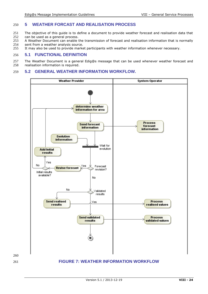# 250 **5 WEATHER FORCAST AND REALISATION PROCESS**

- 251 The objective of this guide is to define a document to provide weather forecast and realisation data that 252 can be used as a general process.
- 252 can be used as a general process.<br>253 A Weather Document can enable t
- 253 A Weather Document can enable the transmission of forecast and realisation information that is normally 254 sent from a weather analysis source.
- 254 sent from a weather analysis source.<br>255 It may also be used to provide marke

<span id="page-23-0"></span>260

It may also be used to provide market participants with weather information whenever necessary.

# 256 **5.1 FUNCTIONAL DEFINITION**

257 The Weather Document is a general Edig@s message that can be used whenever weather forecast and 258 realisation information is required. realisation information is required.

# 259 **5.2 GENERAL WEATHER INFORMATION WORKFLOW.**

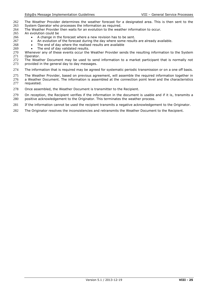- 262 The Weather Provider determines the weather forecast for a designated area. This is then sent to the 263 System Operator who processes the information as required.
- 263 System Operator who processes the information as required.<br>264 The Weather Provider then waits for an evolution to the weat
- 264 The Weather Provider then waits for an evolution to the weather information to occur.<br>265 An evolution could be
- 265 An evolution could be<br>266 A change in the
	- A change in the forecast where a new revision has to be sent.
- 267 **a** An evolution of the forecast during the day where some results are already available.<br>268 **b** The end of day where the realised results are available
	- The end of day where the realised results are available
- 269 The end of day validated results.<br>270 Whenever any of these events occur the
- 270 Whenever any of these events occur the Weather Provider sends the resulting information to the System<br>271 Operator. 271 Operator.<br>272 The Weat
- 272 The Weather Document may be used to send information to a market participant that is normally not 273 provided in the general day to day messages. provided in the general day to day messages.
- 274 The information that is required may be agreed for systematic periodic transmission or on a one off basis.
- 275 The Weather Provider, based on previous agreement, will assemble the required information together in
- 276 a Weather Document. The information is assembled at the connection point level and the characteristics 277 requested. requested.
- 278 Once assembled, the Weather Document is transmitter to the Recipient.
- 279 On reception, the Recipient verifies if the information in the document is usable and if it is, transmits a 280 positive acknowledgement to the Originator. This terminates the weather process.
- 281 If the information cannot be used the recipient transmits a negative acknowledgement to the Originator.
- 282 The Originator resolves the inconsistencies and retransmits the Weather Document to the Recipient.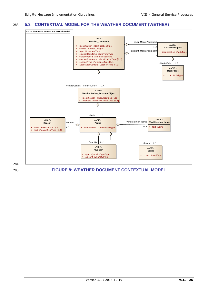# 283 **5.3 CONTEXTUAL MODEL FOR THE WEATHER DOCUMENT (WETHER)**



<span id="page-25-0"></span>284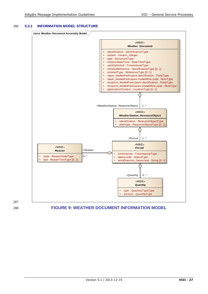# 286 **5.3.1 INFORMATION MODEL STRUCTURE**





# <span id="page-26-0"></span>288 **FIGURE 9: WEATHER DOCUMENT INFORMATION MODEL**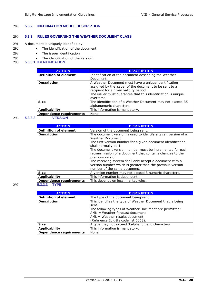# 289 **5.3.2 INFORMATION MODEL DESCRIPTION**

# 290 **5.3.3 RULES GOVERNING THE WEATHER DOCUMENT CLASS**

- 291 A document is uniquely identified by:
- 292 The identification of the document
- 293 The issuer identification
- 294 **•** The identification of the version.<br>295 **5.3.3.1 IDENTIFICATION**
- 295 **5.3.3.1 IDENTIFICATION**

| <b>ACTION</b>                  | <b>DESCRIPTION</b>                                                                                                                                                                                                                     |
|--------------------------------|----------------------------------------------------------------------------------------------------------------------------------------------------------------------------------------------------------------------------------------|
| <b>Definition of element</b>   | Identification of the document describing the Weather<br>Document.                                                                                                                                                                     |
| <b>Description</b>             | A Weather Document must have a unique identification<br>assigned by the issuer of the document to be sent to a<br>recipient for a given validity period.<br>The issuer must guarantee that this identification is unique<br>over time. |
| <b>Size</b>                    | The identification of a Weather Document may not exceed 35<br>alphanumeric characters.                                                                                                                                                 |
| <b>Applicability</b>           | This information is mandatory.                                                                                                                                                                                                         |
| <b>Dependence requirements</b> | None.                                                                                                                                                                                                                                  |

# 296 **5.3.3.2 VERSION**

| <b>ACTION</b>                  | <b>DESCRIPTION</b>                                                                                                                                                                                                                                                                                                                                                                                                                                                                |
|--------------------------------|-----------------------------------------------------------------------------------------------------------------------------------------------------------------------------------------------------------------------------------------------------------------------------------------------------------------------------------------------------------------------------------------------------------------------------------------------------------------------------------|
| <b>Definition of element</b>   | Version of the document being sent.                                                                                                                                                                                                                                                                                                                                                                                                                                               |
| <b>Description</b>             | The document version is used to identify a given version of a<br>Weather Document.<br>The first version number for a given document identification<br>shall normally be 1.<br>The document version number must be incremented for each<br>retransmission of a document that contains changes to the<br>previous version.<br>The receiving system shall only accept a document with a<br>version number which is greater than the previous version<br>number of the same document. |
| <b>Size</b>                    | A version number may not exceed 3 numeric characters.                                                                                                                                                                                                                                                                                                                                                                                                                             |
| <b>Applicability</b>           | This information is dependent.                                                                                                                                                                                                                                                                                                                                                                                                                                                    |
| <b>Dependence requirements</b> | This depends on local market rules.                                                                                                                                                                                                                                                                                                                                                                                                                                               |
| <b>TYPE</b><br>5.3.3.3         |                                                                                                                                                                                                                                                                                                                                                                                                                                                                                   |

| <b>ACTION</b>                  | <b>DESCRIPTION</b>                                         |
|--------------------------------|------------------------------------------------------------|
| <b>Definition of element</b>   | The type of the document being sent.                       |
| <b>Description</b>             | This identifies the type of Weather Document that is being |
|                                | sent.                                                      |
|                                | The following types of Weather Document are permitted:     |
|                                | $AMK = Weather$ forecast document                          |
|                                | $AML = Weather$ results document.                          |
|                                | (Reference Edig@s code list 6063).                         |
| <b>Size</b>                    | A type may not exceed 3 alphanumeric characters.           |
| Applicability                  | This information is mandatory.                             |
| <b>Dependence requirements</b> | None.                                                      |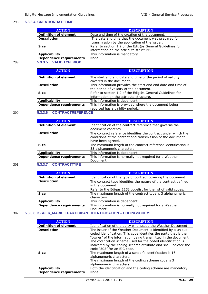### 298 **5.3.3.4 CREATIONDATETIME**

| <b>ACTION</b>                  | <b>DESCRIPTION</b>                                        |
|--------------------------------|-----------------------------------------------------------|
| <b>Definition of element</b>   | Date and time of the creation of the document.            |
| <b>Description</b>             | The date and time that the document was prepared for      |
|                                | transmission by the application of the issuer.            |
| <b>Size</b>                    | Refer to section 1.2 of the Edig@s General Guidelines for |
|                                | information on the attribute structure.                   |
| <b>Applicability</b>           | This information is mandatory.                            |
| <b>Dependence requirements</b> | None.                                                     |
| 5.3.3.5 VALIDITYPERIOD         |                                                           |

| <b>ACTION</b>                  | <b>DESCRIPTION</b>                                                                                      |
|--------------------------------|---------------------------------------------------------------------------------------------------------|
| <b>Definition of element</b>   | The start and end date and time of the period of validity<br>covered in the document.                   |
| <b>Description</b>             | This information provides the start and end date and time of<br>the period of validity of the document. |
| <b>Size</b>                    | Refer to section 1.2 of the Edig@s General Guidelines for<br>information on the attribute structure.    |
| <b>Applicability</b>           | This information is dependent.                                                                          |
| <b>Dependence requirements</b> | This information is provided where the document being<br>reported has a validity period                 |

# 300 **5.3.3.6 CONTRACTREFERENCE**

| <b>ACTION</b>                  | <b>DESCRIPTION</b>                                                                                                           |
|--------------------------------|------------------------------------------------------------------------------------------------------------------------------|
| Definition of element          | Identification of the contract reference that governs the                                                                    |
|                                | document contents.                                                                                                           |
| <b>Description</b>             | The contract reference identifies the contract under which the<br>conditions of the content and transmission of the document |
|                                | have been agreed.                                                                                                            |
| <b>Size</b>                    | The maximum length of the contract reference identification is                                                               |
|                                | 35 alphanumeric characters.                                                                                                  |
| <b>Applicability</b>           | This information is dependent.                                                                                               |
| <b>Dependence requirements</b> | This information is normally not required for a Weather                                                                      |
|                                | Document.                                                                                                                    |

# 301 **5.3.3.7 CONTRACTTYPE**

| <b>ACTION</b>                  | <b>DESCRIPTION</b>                                                                  |
|--------------------------------|-------------------------------------------------------------------------------------|
| <b>Definition of element</b>   | Identification of the type of contract covering the document.                       |
| <b>Description</b>             | The contract type identifies the nature of the contract defined<br>in the document. |
|                                | Refer to the Edigas 1153 codelist for the list of valid codes.                      |
| <b>Size</b>                    | The maximum length of the contract type is 3 alphanumeric<br>characters.            |
|                                |                                                                                     |
| <b>Applicability</b>           | This information is dependent.                                                      |
| <b>Dependence requirements</b> | This information is normally not required for a Weather                             |
|                                | Document.                                                                           |

# 302 **5.3.3.8 ISSUER\_MARKETPARTICIPANT.IDENTIFICATION – CODINGSCHEME**

| <b>ACTION</b>                  | <b>DESCRIPTION</b>                                                                                                                                                                                                                                                                                                                                                  |
|--------------------------------|---------------------------------------------------------------------------------------------------------------------------------------------------------------------------------------------------------------------------------------------------------------------------------------------------------------------------------------------------------------------|
| <b>Definition of element</b>   | Identification of the party who issued the Weather Document.                                                                                                                                                                                                                                                                                                        |
| <b>Description</b>             | The issuer of the Weather Document is identified by a unique<br>coded identification. This code identifies the party that is the<br>"owner" of the information being transmitted in the document.<br>The codification scheme used for the coded identification is<br>indicated by the coding scheme attribute and shall indicate the<br>code "305" for an EIC code. |
| <b>Size</b>                    | The maximum length of a sender's identification is 16<br>alphanumeric characters.<br>The maximum length of the coding scheme code is 3<br>alphanumeric characters.                                                                                                                                                                                                  |
| <b>Applicability</b>           | Both the identification and the coding scheme are mandatory.                                                                                                                                                                                                                                                                                                        |
| <b>Dependence requirements</b> | None.                                                                                                                                                                                                                                                                                                                                                               |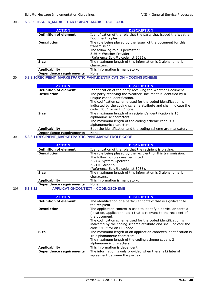### 303 **5.3.3.9 ISSUER\_MARKETPARTICIPANT.MARKETROLE.CODE**

| <b>ACTION</b>                | <b>DESCRIPTION</b>                                                |
|------------------------------|-------------------------------------------------------------------|
| <b>Definition of element</b> | Identification of the role that the party that issued the Weather |
|                              | Document is playing.                                              |
| <b>Description</b>           | The role being played by the issuer of the document for this      |
|                              | transmission.                                                     |
|                              | The following role is permitted:                                  |
|                              | $ZUH = Weather$ Provider.                                         |
|                              | (Reference Edig@s code list 3035).                                |
| <b>Size</b>                  | The maximum length of this information is 3 alphanumeric          |
|                              | characters.                                                       |
| <b>Applicability</b>         | This information is mandatory.                                    |
| Dependence requirements      | None.                                                             |

# 304 **5.3.3.10RECIPIENT\_MARKETPARTICIPANT.IDENTIFICATION – CODINGSCHEME**

| <b>ACTION</b>                  | <b>DESCRIPTION</b>                                                                                                                                                                                                                                            |
|--------------------------------|---------------------------------------------------------------------------------------------------------------------------------------------------------------------------------------------------------------------------------------------------------------|
| <b>Definition of element</b>   | Identification of the party receiving the Weather Document                                                                                                                                                                                                    |
| <b>Description</b>             | The party receiving the Weather Document is identified by a<br>unique coded identification.<br>The codification scheme used for the coded identification is<br>indicated by the coding scheme attribute and shall indicate the<br>code "305" for an EIC code. |
| <b>Size</b>                    | The maximum length of a recipient's identification is 16<br>alphanumeric characters.<br>The maximum length of the coding scheme code is 3<br>alphanumeric characters.                                                                                         |
| <b>Applicability</b>           | Both the identification and the coding scheme are mandatory.                                                                                                                                                                                                  |
| <b>Dependence requirements</b> | None.                                                                                                                                                                                                                                                         |

# 305 **5.3.3.11RECIPIENT\_MARKETPARTICIPANT.MARKETROLE.CODE**

| <b>ACTION</b>                  | <b>DESCRIPTION</b>                                                                                                                                                                       |
|--------------------------------|------------------------------------------------------------------------------------------------------------------------------------------------------------------------------------------|
| <b>Definition of element</b>   | Identification of the role that the recipient is playing.                                                                                                                                |
| <b>Description</b>             | The role being played by the recipient for this transmission.<br>The following roles are permitted:<br>$ZSO = System Operator$<br>$ZSH = Shipper.$<br>(Reference Edig@s code list 3035). |
| <b>Size</b>                    | The maximum length of this information is 3 alphanumeric<br>characters.                                                                                                                  |
| <b>Applicability</b>           | This information is mandatory.                                                                                                                                                           |
| <b>Dependence requirements</b> | None.                                                                                                                                                                                    |

# 306 **5.3.3.12 APPLICATIONCONTEXT – CODINGSCHEME**

| <b>ACTION</b>                  | <b>DESCRIPTION</b>                                                 |
|--------------------------------|--------------------------------------------------------------------|
| <b>Definition of element</b>   | The identification of a particular context that is significant to  |
|                                | the recipient.                                                     |
| <b>Description</b>             | The application context is used to identify a particular context   |
|                                | (location, application, etc.) that is relevant to the recipient of |
|                                | the document.                                                      |
|                                | The codification scheme used for the coded identification is       |
|                                | indicated by the coding scheme attribute and shall indicate the    |
|                                | code "305" for an EIC code.                                        |
| <b>Size</b>                    | The maximum length of an application context's identification is   |
|                                | 16 alphanumeric characters.                                        |
|                                | The maximum length of the coding scheme code is 3                  |
|                                | alphanumeric characters.                                           |
| <b>Applicability</b>           | This information is dependent.                                     |
| <b>Dependence requirements</b> | The information is only provided when there is bi laterial         |
|                                | agreement between the parties.                                     |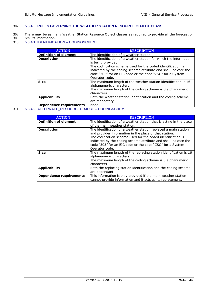# 307 **5.3.4 RULES GOVERNING THE WEATHER STATION RESOURCE OBJECT CLASS**

- 308 There may be as many Weather Station Resource Object classes as required to provide all the forecast or 309 results information.
- 309 results information.<br>310 5.3.4.1 **IDENTIFICA**
- 310 **5.3.4.1 IDENTIFICATION – CODINGSCHEME**

| <b>ACTION</b>                                                                                                                                                                                                                                                               | <b>DESCRIPTION</b>                                                                                                                                                                                                                                                                                        |
|-----------------------------------------------------------------------------------------------------------------------------------------------------------------------------------------------------------------------------------------------------------------------------|-----------------------------------------------------------------------------------------------------------------------------------------------------------------------------------------------------------------------------------------------------------------------------------------------------------|
| <b>Definition of element</b>                                                                                                                                                                                                                                                | The identification of a weather station.                                                                                                                                                                                                                                                                  |
| <b>Description</b>                                                                                                                                                                                                                                                          | The identification of a weather station for which the information<br>is being provided.<br>The codification scheme used for the coded identification is<br>indicated by the coding scheme attribute and shall indicate the<br>code "305" for an EIC code or the code "ZSO" for a System<br>Operator code. |
| <b>Size</b>                                                                                                                                                                                                                                                                 | The maximum length of the weather station identification is 16<br>alphanumeric characters.<br>The maximum length of the coding scheme is 3 alphanumeric<br>characters                                                                                                                                     |
| <b>Applicability</b>                                                                                                                                                                                                                                                        | Both the weather station identification and the coding scheme<br>are mandatory                                                                                                                                                                                                                            |
| <b>Contract Contract Contract Contract Contract Contract Contract Contract Contract Contract Contract Contract Contract Contract Contract Contract Contract Contract Contract Contract Contract Contract Contract Contract Contr</b><br>the contract of the contract of the | $\cdots$                                                                                                                                                                                                                                                                                                  |

**Dependence requirements** None.

# 311 **5.3.4.2 ALTERNATE\_RESOURCEOBJECT – CODINGSCHEME**

| <b>ACTION</b>                  | <b>DESCRIPTION</b>                                                                                                                                                                                                                                                                                                                          |
|--------------------------------|---------------------------------------------------------------------------------------------------------------------------------------------------------------------------------------------------------------------------------------------------------------------------------------------------------------------------------------------|
| <b>Definition of element</b>   | The identification of a weather station that is acting in the place<br>of the main weather station.                                                                                                                                                                                                                                         |
| <b>Description</b>             | The identification of a weather station replaced a main station<br>and provides information in the place of that station.<br>The codification scheme used for the coded identification is<br>indicated by the coding scheme attribute and shall indicate the<br>code "305" for an EIC code or the code "ZSO" for a System<br>Operator code. |
| <b>Size</b>                    | The maximum length of the replacing station identification is 16<br>alphanumeric characters.<br>The maximum length of the coding scheme is 3 alphanumeric<br>characters                                                                                                                                                                     |
| <b>Applicability</b>           | Both the replacing station identification and the coding scheme<br>are dependant                                                                                                                                                                                                                                                            |
| <b>Dependence requirements</b> | This information is only provided if the main weather station<br>cannot provide information and it acts as its replacement.                                                                                                                                                                                                                 |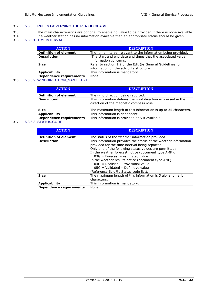# 312 **5.3.5 RULES GOVERNING THE PERIOD CLASS**

- 313 The main characteristics are optional to enable no value to be provided if there is none available. 314 If a weather station has no information available then an appropriate status should be given.
- 315 **5.3.5.1 TIMEINTERVAL**

| <b>ACTION</b>                  | <b>DESCRIPTION</b>                                            |
|--------------------------------|---------------------------------------------------------------|
| <b>Definition of element</b>   | The time interval relevant to the information being provided. |
| <b>Description</b>             | The start and end date and times that the associated value    |
|                                | information concerns.                                         |
| <b>Size</b>                    | Refer to section 1.2 of the Edig@s General Guidelines for     |
|                                | information on the attribute structure.                       |
| <b>Applicability</b>           | This information is mandatory.                                |
| <b>Dependence requirements</b> | None.                                                         |
|                                |                                                               |

### 316 **5.3.5.2 WINDDIRECTION\_NAME.TEXT**

| <b>ACTION</b>                  | <b>DESCRIPTION</b>                                                                                      |  |
|--------------------------------|---------------------------------------------------------------------------------------------------------|--|
| <b>Definition of element</b>   | The wind direction being reported.                                                                      |  |
| <b>Description</b>             | This information defines the wind direction expressed in the<br>direction of the magnetic compass rose. |  |
| <b>Size</b>                    | The maximum length of this information is up to 35 characters.                                          |  |
| <b>Applicability</b>           | This information is dependent.                                                                          |  |
| <b>Dependence requirements</b> | This information is provided only if available.                                                         |  |

# 317 **5.3.5.3 STATUS.CODE**

| <b>ACTION</b>                  | <b>DESCRIPTION</b>                                                                                                                                                                                                                                                                                                                                                                                                                                     |  |  |  |
|--------------------------------|--------------------------------------------------------------------------------------------------------------------------------------------------------------------------------------------------------------------------------------------------------------------------------------------------------------------------------------------------------------------------------------------------------------------------------------------------------|--|--|--|
| <b>Definition of element</b>   | The status of the weather information provided.                                                                                                                                                                                                                                                                                                                                                                                                        |  |  |  |
| <b>Description</b>             | This information provides the status of the weather information<br>provided for the time interval being reported.<br>Only one of the following status values are permitted:<br>In the weather forecast notice (document type AMK):<br>$03G =$ Forecast – estimated value<br>In the weather results notice (document type AML):<br>$04G = Realised - Provisional value$<br>$05G =$ Validated - Definitive value<br>(Reference Edig@s Status code list). |  |  |  |
| <b>Size</b>                    | The maximum length of this information is 3 alphanumeric<br>characters.                                                                                                                                                                                                                                                                                                                                                                                |  |  |  |
| <b>Applicability</b>           | This information is mandatory.                                                                                                                                                                                                                                                                                                                                                                                                                         |  |  |  |
| <b>Dependence requirements</b> | None.                                                                                                                                                                                                                                                                                                                                                                                                                                                  |  |  |  |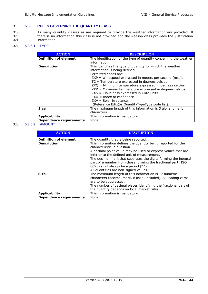# 318 **5.3.6 RULES GOVERNING THE QUANTITY CLASS**

319 As many quantity classes as are required to provide the weather information are provided. If 320 there is no information this class is not provided and the Reason class provides the justification 321 information.

# 322 **5.3.6.1 TYPE**

| <b>ACTION</b>                  | DESCRIPTION                                                                                                                                                                                                                                                                                                                                                                                                                                                                                              |  |  |  |
|--------------------------------|----------------------------------------------------------------------------------------------------------------------------------------------------------------------------------------------------------------------------------------------------------------------------------------------------------------------------------------------------------------------------------------------------------------------------------------------------------------------------------------------------------|--|--|--|
| <b>Definition of element</b>   | The identification of the type of quantity concerning the weather<br>information.                                                                                                                                                                                                                                                                                                                                                                                                                        |  |  |  |
| <b>Description</b>             | This identifies the type of quantity for which the weather<br>information is being defined.<br>Permitted codes are:<br>$ZXP =$ Windspeed expressed in meters per second (msc).<br>$TC = Temperature expressed in degrees.$<br>ZXQ = Minimum temperature expressed in degrees celcius<br>ZXR = Maximum temperature expressed in degrees celcius<br>ZXS = Cloudiness expressed in Okta units<br>$ZXU = Index of confidence$<br>$ZXV = Solar irradiance.$<br>(Reference Edig@s QuantityTypeType code list). |  |  |  |
| <b>Size</b>                    | The maximum length of this information is 3 alphanumeric<br>characters.                                                                                                                                                                                                                                                                                                                                                                                                                                  |  |  |  |
| <b>Applicability</b>           | This information is mandatory.                                                                                                                                                                                                                                                                                                                                                                                                                                                                           |  |  |  |
| <b>Dependence requirements</b> | None.                                                                                                                                                                                                                                                                                                                                                                                                                                                                                                    |  |  |  |

### 323 **5.3.6.2 AMOUNT**

| <b>ACTION</b>                  | <b>DESCRIPTION</b>                                              |  |  |  |
|--------------------------------|-----------------------------------------------------------------|--|--|--|
|                                |                                                                 |  |  |  |
| <b>Definition of element</b>   | The quantity that is being reported.                            |  |  |  |
| <b>Description</b>             | This information defines the quantity being reported for the    |  |  |  |
|                                | characteristic in question.                                     |  |  |  |
|                                | A decimal point value may be used to express values that are    |  |  |  |
|                                | inferior to the defined unit of measurement.                    |  |  |  |
|                                | The decimal mark that separates the digits forming the integral |  |  |  |
|                                | part of a number from those forming the fractional part (ISO    |  |  |  |
|                                | 6093) shall always be a period (".").                           |  |  |  |
|                                | All quantities are non-signed values.                           |  |  |  |
| <b>Size</b>                    | The maximum length of this information is 17 numeric            |  |  |  |
|                                | characters (decimal mark, if used, included). All leading zeros |  |  |  |
|                                | are to be suppressed.                                           |  |  |  |
|                                | The number of decimal places identifying the fractional part of |  |  |  |
|                                | the quantity depends on local market rules.                     |  |  |  |
| <b>Applicability</b>           | This information is mandatory.                                  |  |  |  |
| <b>Dependence requirements</b> | None.                                                           |  |  |  |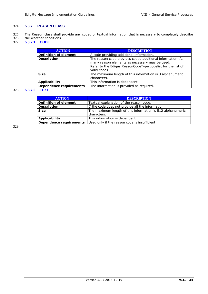# 324 **5.3.7 REASON CLASS**

- 325 The Reason class shall provide any coded or textual information that is necessary to completely describe
- 326 the weather conditions.
- 327 **5.3.7.1 CODE**

| <b>ACTION</b>                  | <b>DESCRIPTION</b>                                          |  |  |  |
|--------------------------------|-------------------------------------------------------------|--|--|--|
| <b>Definition of element</b>   | A code providing additional information.                    |  |  |  |
| <b>Description</b>             | The reason code provides coded additional information. As   |  |  |  |
|                                | many reason elements as necessary may be used.              |  |  |  |
|                                | Refer to the Edigas ReasonCodeType codelist for the list of |  |  |  |
|                                | valid codes                                                 |  |  |  |
| <b>Size</b>                    | The maximum length of this information is 3 alphanumeric    |  |  |  |
|                                | characters.                                                 |  |  |  |
| <b>Applicability</b>           | This information is dependent.                              |  |  |  |
| <b>Dependence requirements</b> | The information is provided as required.                    |  |  |  |

# 328 **5.3.7.2 TEXT**

| <b>ACTION</b>                | <b>DESCRIPTION</b>                                                        |  |  |  |
|------------------------------|---------------------------------------------------------------------------|--|--|--|
| <b>Definition of element</b> | Textual explanation of the reason code.                                   |  |  |  |
| <b>Description</b>           | If the code does not provide all the information.                         |  |  |  |
| <b>Size</b>                  | The maximum length of this information is 512 alphanumeric<br>characters. |  |  |  |
| <b>Applicability</b>         | This information is dependent.                                            |  |  |  |
| Dependence requirements      | Used only if the reason code is insufficient.                             |  |  |  |
|                              |                                                                           |  |  |  |

329